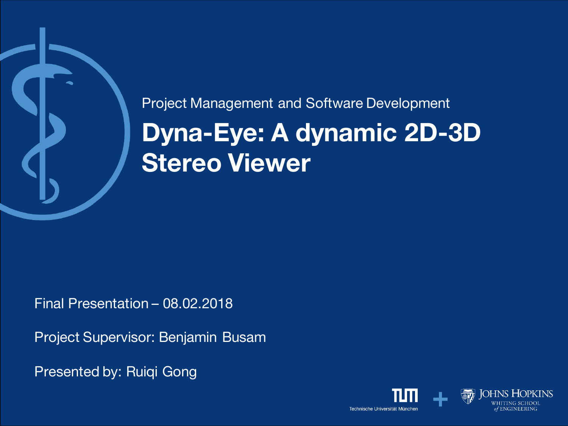# **Dyna-Eye: A dynamic 2D-3D Stereo Viewer** Project Management and Software Development

Final Presentation – 08.02.2018

Project Supervisor: Benjamin Busam

Presented by: Ruiqi Gong

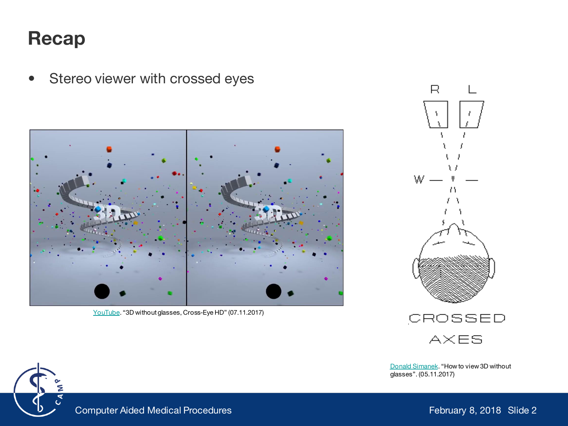#### **Recap**

• Stereo viewer with crossed eyes

[YouTube](https://www.youtube.com/watch?v=zBa-bCxsZDk). "3D without glasses, Cross-Eye HD" (07.11.2017)







[Donald Simanek](https://www.lhup.edu/~dsimanek/3d/view3d.htm). "How to view 3D without glasses". (05.11.2017)

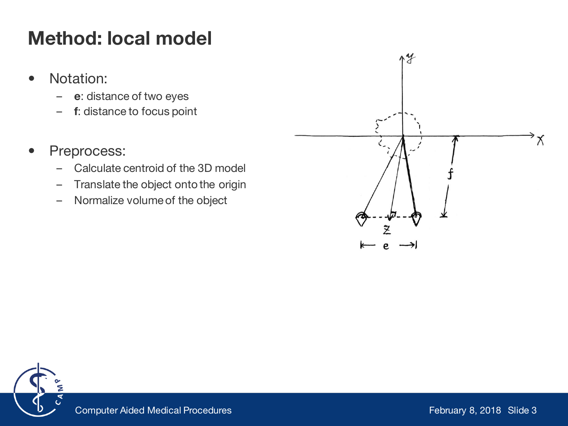# **Method: local model**

- Notation:
	- **e**: distance of two eyes
	- **f**: distance to focus point
- Preprocess:
	- Calculate centroid of the 3D model
	- Translate the object onto the origin
	- Normalize volume of the object



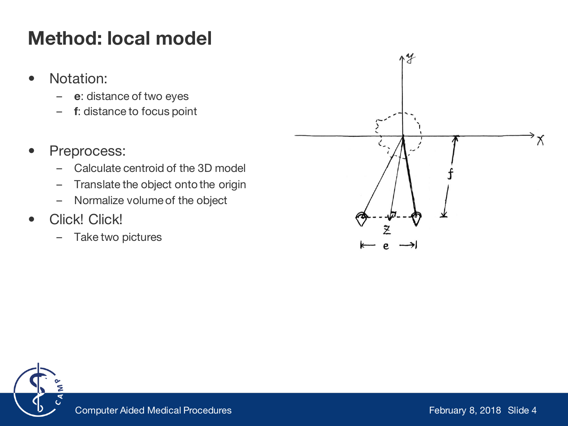# **Method: local model**

- Notation:
	- **e**: distance of two eyes
	- **f**: distance to focus point
- Preprocess:
	- Calculate centroid of the 3D model
	- Translate the object onto the origin
	- Normalize volume of the object
- Click! Click!
	- Take two pictures



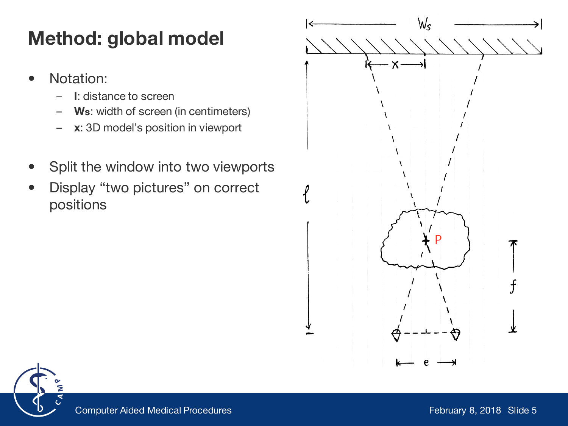# **Method: global model**

- Notation:
	- **l**: distance to screen
	- **Ws**: width of screen (in centimeters)
	- **x**: 3D model's position in viewport
- Split the window into two viewports
- Display "two pictures" on correct positions



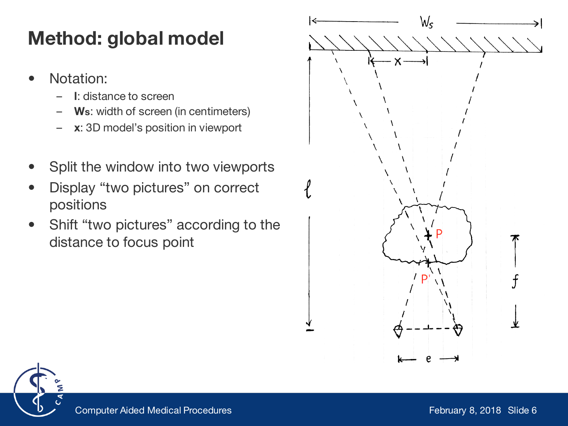# **Method: global model**

- Notation:
	- **l**: distance to screen
	- **Ws**: width of screen (in centimeters)
	- **x**: 3D model's position in viewport
- Split the window into two viewports
- Display "two pictures" on correct positions
- Shift "two pictures" according to the distance to focus point



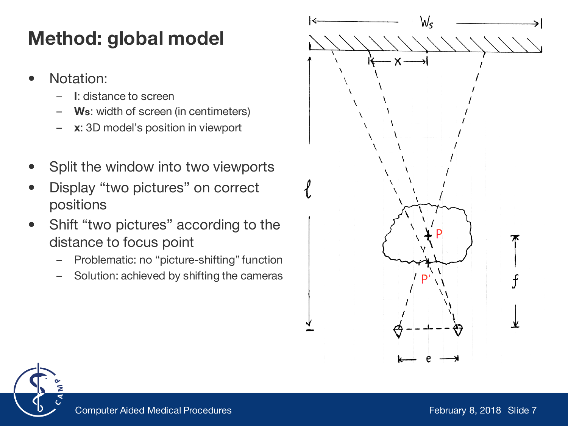# **Method: global model**

- Notation:
	- **l**: distance to screen
	- **Ws**: width of screen (in centimeters)
	- **x**: 3D model's position in viewport
- Split the window into two viewports
- Display "two pictures" on correct positions
- Shift "two pictures" according to the distance to focus point
	- Problematic: no "picture-shifting" function
	- Solution: achieved by shifting the cameras



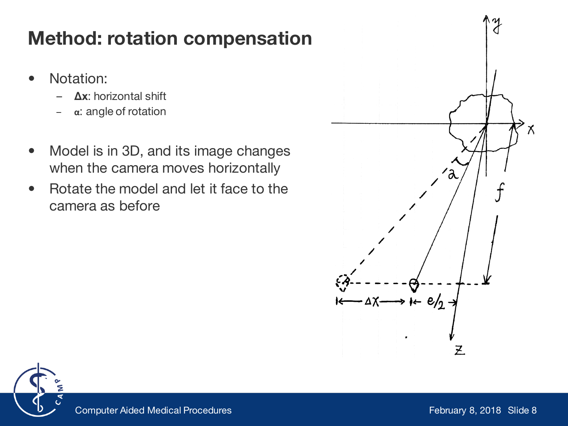## **Method: rotation compensation**

- Notation:
	- **Δx**: horizontal shift
	- **α**: angle of rotation
- Model is in 3D, and its image changes when the camera moves horizontally
- Rotate the model and let it face to the camera as before



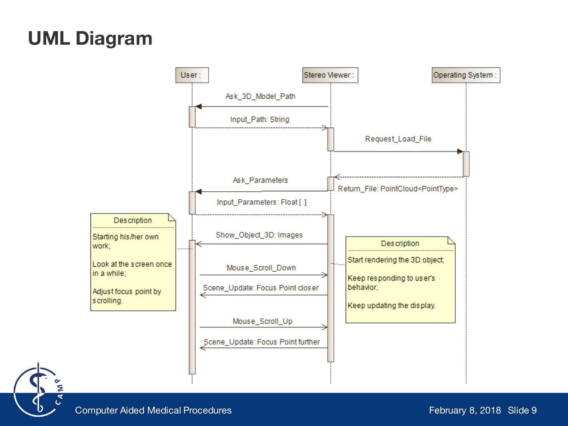## **UML Diagram**



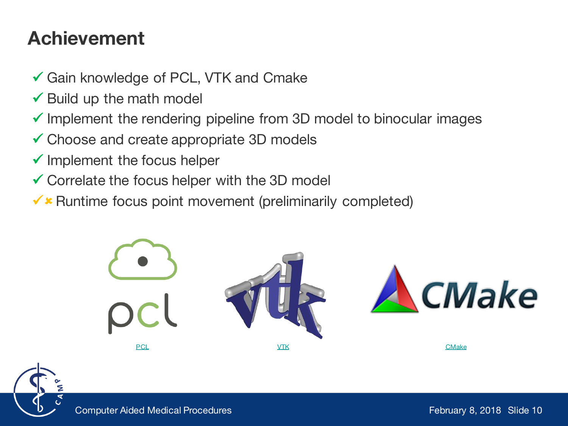### **Achievement**

- Gain knowledge of PCL, VTK and Cmake
- $\checkmark$  Build up the math model
- $\checkmark$  Implement the rendering pipeline from 3D model to binocular images
- Choose and create appropriate 3D models
- $\checkmark$  Implement the focus helper
- $\checkmark$  Correlate the focus helper with the 3D model
- $\checkmark$  **Runtime focus point movement (preliminarily completed)**



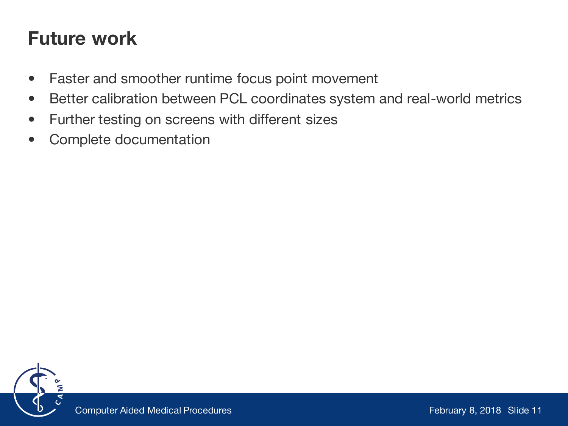## **Future work**

- Faster and smoother runtime focus point movement
- Better calibration between PCL coordinates system and real-world metrics
- Further testing on screens with different sizes
- Complete documentation

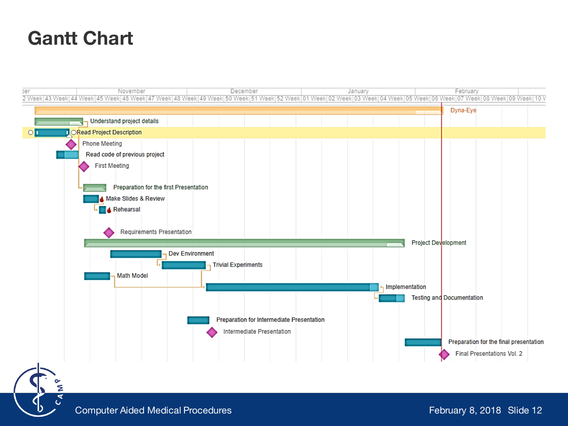### **Gantt Chart**